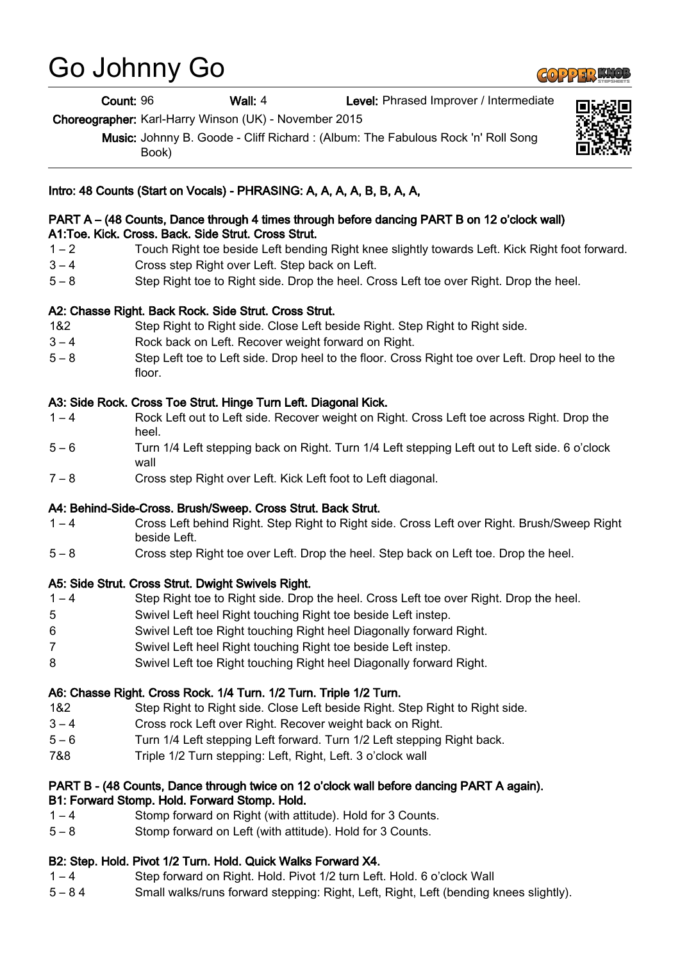# Go Johnny Go

Count: 96 Wall: 4 Level: Phrased Improver / Intermediate

Choreographer: Karl-Harry Winson (UK) - November 2015

Music: Johnny B. Goode - Cliff Richard : (Album: The Fabulous Rock 'n' Roll Song Book)



#### PART A – (48 Counts, Dance through 4 times through before dancing PART B on 12 o'clock wall) A1:Toe. Kick. Cross. Back. Side Strut. Cross Strut.

- 1 2 Touch Right toe beside Left bending Right knee slightly towards Left. Kick Right foot forward.
- 3 4 Cross step Right over Left. Step back on Left.
- 5 8 Step Right toe to Right side. Drop the heel. Cross Left toe over Right. Drop the heel.

## A2: Chasse Right. Back Rock. Side Strut. Cross Strut.

- 1&2 Step Right to Right side. Close Left beside Right. Step Right to Right side.
- 3 4 Rock back on Left. Recover weight forward on Right.
- 5 8 Step Left toe to Left side. Drop heel to the floor. Cross Right toe over Left. Drop heel to the floor.

## A3: Side Rock. Cross Toe Strut. Hinge Turn Left. Diagonal Kick.

- 1 4 Rock Left out to Left side. Recover weight on Right. Cross Left toe across Right. Drop the heel.
- 5 6 Turn 1/4 Left stepping back on Right. Turn 1/4 Left stepping Left out to Left side. 6 o'clock wall
- 7 8 Cross step Right over Left. Kick Left foot to Left diagonal.

## A4: Behind-Side-Cross. Brush/Sweep. Cross Strut. Back Strut.

- 1 4 Cross Left behind Right. Step Right to Right side. Cross Left over Right. Brush/Sweep Right beside Left.
- 5 8 Cross step Right toe over Left. Drop the heel. Step back on Left toe. Drop the heel.

## A5: Side Strut. Cross Strut. Dwight Swivels Right.

- 1 4 Step Right toe to Right side. Drop the heel. Cross Left toe over Right. Drop the heel.
- 5 Swivel Left heel Right touching Right toe beside Left instep.
- 6 Swivel Left toe Right touching Right heel Diagonally forward Right.
- 7 Swivel Left heel Right touching Right toe beside Left instep.
- 8 Swivel Left toe Right touching Right heel Diagonally forward Right.

## A6: Chasse Right. Cross Rock. 1/4 Turn. 1/2 Turn. Triple 1/2 Turn.

- 1&2 Step Right to Right side. Close Left beside Right. Step Right to Right side.
- 3 4 Cross rock Left over Right. Recover weight back on Right.
- 5 6 Turn 1/4 Left stepping Left forward. Turn 1/2 Left stepping Right back.
- 7&8 Triple 1/2 Turn stepping: Left, Right, Left. 3 o'clock wall

#### PART B - (48 Counts, Dance through twice on 12 o'clock wall before dancing PART A again). B1: Forward Stomp. Hold. Forward Stomp. Hold.

- 1 4 Stomp forward on Right (with attitude). Hold for 3 Counts.
- 5 8 Stomp forward on Left (with attitude). Hold for 3 Counts.

## B2: Step. Hold. Pivot 1/2 Turn. Hold. Quick Walks Forward X4.

- 1 4 Step forward on Right. Hold. Pivot 1/2 turn Left. Hold. 6 o'clock Wall
- 5 8 4 Small walks/runs forward stepping: Right, Left, Right, Left (bending knees slightly).